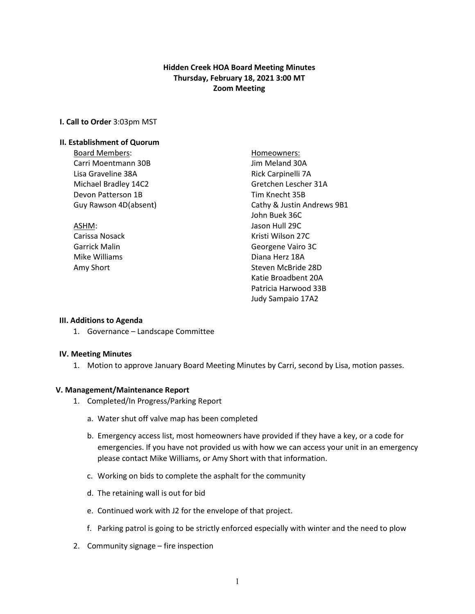# **Hidden Creek HOA Board Meeting Minutes Thursday, February 18, 2021 3:00 MT Zoom Meeting**

### **I. Call to Order** 3:03pm MST

#### **II. Establishment of Quorum**

Board Members: North Members: Homeowners: Carri Moentmann 30B Jim Meland 30A Lisa Graveline 38A Rick Carpinelli 7A Michael Bradley 14C2 Gretchen Lescher 31A Devon Patterson 1B Tim Knecht 35B

Guy Rawson 4D(absent) Cathy & Justin Andrews 9B1 John Buek 36C ASHM: Jason Hull 29C Carissa Nosack **Kristi Wilson 27C** Garrick Malin Georgene Vairo 3C Mike Williams **Diana Herz** 18A Amy Short **Steven McBride 28D** Katie Broadbent 20A Patricia Harwood 33B Judy Sampaio 17A2

#### **III. Additions to Agenda**

1. Governance – Landscape Committee

#### **IV. Meeting Minutes**

1. Motion to approve January Board Meeting Minutes by Carri, second by Lisa, motion passes.

#### **V. Management/Maintenance Report**

- 1. Completed/In Progress/Parking Report
	- a. Water shut off valve map has been completed
	- b. Emergency access list, most homeowners have provided if they have a key, or a code for emergencies. If you have not provided us with how we can access your unit in an emergency please contact Mike Williams, or Amy Short with that information.
	- c. Working on bids to complete the asphalt for the community
	- d. The retaining wall is out for bid
	- e. Continued work with J2 for the envelope of that project.
	- f. Parking patrol is going to be strictly enforced especially with winter and the need to plow
- 2. Community signage fire inspection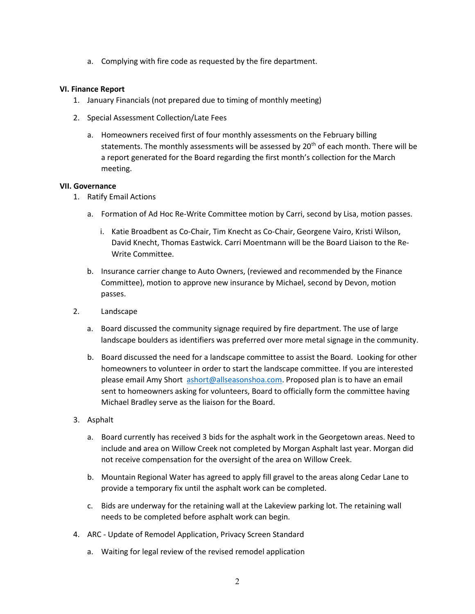a. Complying with fire code as requested by the fire department.

## **VI. Finance Report**

- 1. January Financials (not prepared due to timing of monthly meeting)
- 2. Special Assessment Collection/Late Fees
	- a. Homeowners received first of four monthly assessments on the February billing statements. The monthly assessments will be assessed by  $20<sup>th</sup>$  of each month. There will be a report generated for the Board regarding the first month's collection for the March meeting.

## **VII. Governance**

- 1. Ratify Email Actions
	- a. Formation of Ad Hoc Re-Write Committee motion by Carri, second by Lisa, motion passes.
		- i. Katie Broadbent as Co-Chair, Tim Knecht as Co-Chair, Georgene Vairo, Kristi Wilson, David Knecht, Thomas Eastwick. Carri Moentmann will be the Board Liaison to the Re-Write Committee.
	- b. Insurance carrier change to Auto Owners, (reviewed and recommended by the Finance Committee), motion to approve new insurance by Michael, second by Devon, motion passes.
- 2. Landscape
	- a. Board discussed the community signage required by fire department. The use of large landscape boulders as identifiers was preferred over more metal signage in the community.
	- b. Board discussed the need for a landscape committee to assist the Board. Looking for other homeowners to volunteer in order to start the landscape committee. If you are interested please email Amy Short [ashort@allseasonshoa.com.](mailto:ashort@allseasonshoa.com) Proposed plan is to have an email sent to homeowners asking for volunteers, Board to officially form the committee having Michael Bradley serve as the liaison for the Board.
- 3. Asphalt
	- a. Board currently has received 3 bids for the asphalt work in the Georgetown areas. Need to include and area on Willow Creek not completed by Morgan Asphalt last year. Morgan did not receive compensation for the oversight of the area on Willow Creek.
	- b. Mountain Regional Water has agreed to apply fill gravel to the areas along Cedar Lane to provide a temporary fix until the asphalt work can be completed.
	- c. Bids are underway for the retaining wall at the Lakeview parking lot. The retaining wall needs to be completed before asphalt work can begin.
- 4. ARC Update of Remodel Application, Privacy Screen Standard
	- a. Waiting for legal review of the revised remodel application